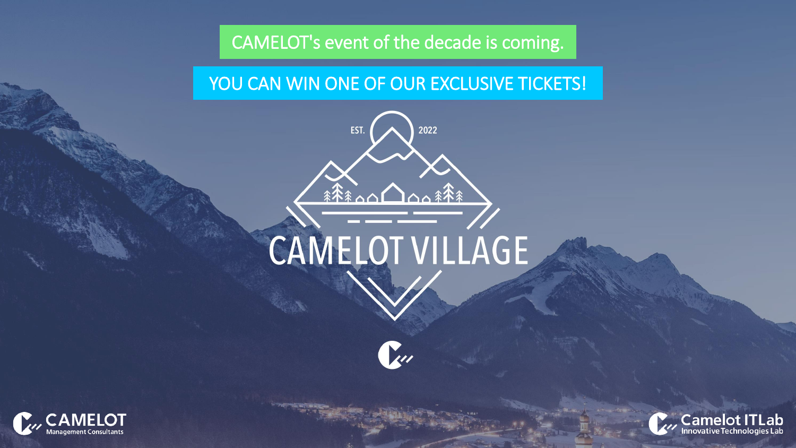# **CAMELOT's event of the decade is coming.**

# **YOU CAN WIN ONE OF OUR EXCLUSIVE TICKETS!**



# CAMELOT VILLAGE

 $\sum_{i=1}^{n}$ 



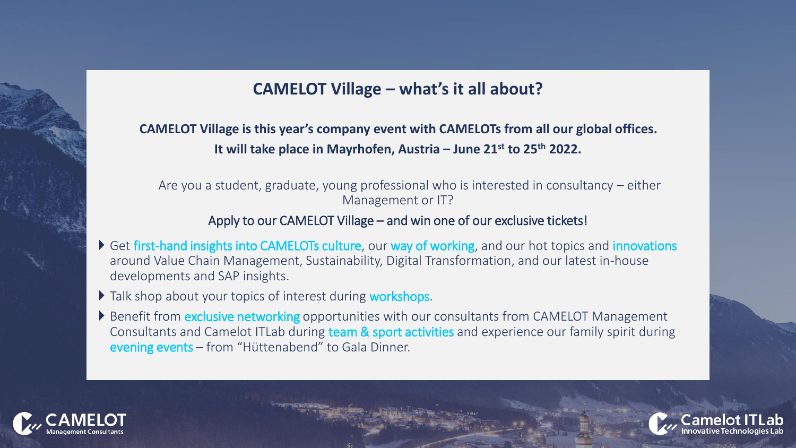## **CAMELOT Village – what's it all about?**

**CAMELOT Village is this year's company event with CAMELOTs from all our global offices. It will take place in Mayrhofen, Austria – June 21st to 25th 2022.**

Are you a student, graduate, young professional who is interested in consultancy – either Management or IT?

#### Apply to our CAMELOT Village – and win one of our exclusive tickets!

- Get first-hand insights into CAMELOTs culture, our way of working, and our hot topics and innovations around Value Chain Management, Sustainability, Digital Transformation, and our latest in-house developments and SAP insights.
- Talk shop about your topics of interest during workshops.
- Benefit from **exclusive networking** opportunities with our consultants from CAMELOT Management Consultants and Camelot ITLab during team & sport activities and experience our family spirit during evening events – from "Hüttenabend" to Gala Dinner.



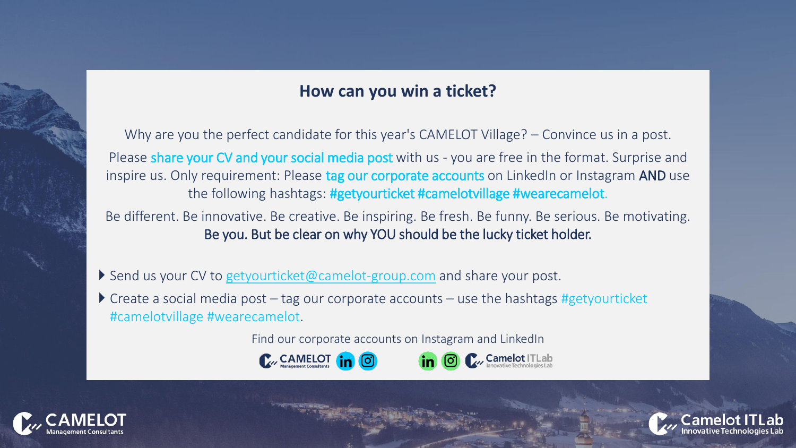### **How can you win a ticket?**

Why are you the perfect candidate for this year's CAMELOT Village? – Convince us in a post. Please share your CV and your social media post with us - you are free in the format. Surprise and inspire us. Only requirement: Please tag our corporate accounts on LinkedIn or Instagram AND use the following hashtags: #getyourticket #camelotvillage #wearecamelot.

Be different. Be innovative. Be creative. Be inspiring. Be fresh. Be funny. Be serious. Be motivating. Be you. But be clear on why YOU should be the lucky ticket holder.

Send us your CV to [getyourticket@camelot-group.com](mailto:getyourticket@camelot-group.com) and share your post.

 $\triangleright$  Create a social media post – tag our corporate accounts – use the hashtags #getyourticket #camelotvillage #wearecamelot.

Find our corporate accounts on Instagram and LinkedIn